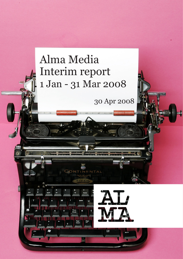# Alma Media Interim report 1 Jan - 31 Mar 2008

 $111116011111115001111111111$ 

30 Apr 2008

 $\overline{\phantom{a}}$ 

Caps<br>Lock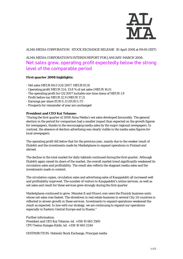

ALMA MEDIA CORPORATION STOCK EXCHANGE RELEASE 30 April 2008 at 09:00 (EET)

# ALMA MEDIA CORPORATION'S INTERIM REPORT FOR JANUARY-MARCH 2008: Net sales grew, operating profit expectedly below the strong level of the comparable period

# **First quarter 2008 highlights:**

- Net sales MEUR 84.0 (Q1/2007: MEUR 81.9)
- Operating profit MEUR 11.6, 13.8 % of net sales (MEUR 16.0)
- The operating profit for Q1/2007 includes one-time items of MEUR 1.9
- Profit before tax MEUR 12.9 (MEUR 17.2)
- Earnings per share EUR 0.13 (EUR 0.17)
- Prospects for remainder of year are unchanged

# **President and CEO Kai Telanne:**

"During the first quarter of 2008 Alma Media's net sales developed favourably. The general election in the period for comparison had a smaller impact than expected on the growth figures for newspapers, thanks to the encouraging media sales by the major regional newspapers. In contrast, the absence of election advertising was clearly visible in the media sales figures for local newspapers.

The operating profit fell below that for the previous year, mainly due to the weaker result of Iltalehti and the investments made by Marketplaces to expand operations in Finland and abroad.

The decline in the total market for daily tabloids continued during the first quarter. Although Iltalehti again raised its share of the market, the overall market trend significantly weakened its circulation sales and profitability. The result also reflects the stagnant media sales and the investments made in content.

The circulation copies, circulation sales and advertising sales of Kauppalehti all increased well and profitability improved. The number of visitors to Kauppalehti's online services, as well as net sales and result for these services grew strongly during the first quarter.

Marketplaces continued to grow. Monster.fi and Etuovi.com were the Finnish business units whose net sales rose fastest. The slowdown in real estate business in several City 24 countries is reflected in slower growth in these services. Investments to expand operations weakened the result as expected. In line with our strategy, we are continuing to expand our operations especially in Eastern Central Europe and in Russia."

Further information: President and CEO Kai Telanne, tel. +358 10 665 3500 CFO Teemu Kangas-Kärki, tel. +358 10 665 2244

DISTRIBUTION: Helsinki Stock Exchange, Principal media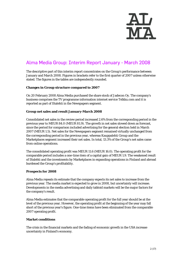

# Alma Media Group: Interim Report January - March 2008

The descriptive part of this interim report concentrates on the Group's performance between January and March 2008. Figures in brackets refer to the first quarter of 2007 unless otherwise stated. The figures in the tables are independently rounded.

# **Changes in Group structure compared to 2007**

On 20 February 2008 Alma Media purchased the share stock of Jadecon Oy. The company's business comprises the TV programme information internet service Telkku.com and it is reported as part of Iltalehti in the Newspapers segment.

# **Group net sales and result January-March 2008**

Consolidated net sales in the review period increased 2.6% from the corresponding period in the previous year to MEUR 84.0 (MEUR 81.9). The growth in net sales slowed down as forecast, since the period for comparison included advertising for the general election held in March 2007 (MEUR 1.5). Net sales for the Newspapers segment remained virtually unchanged from the corresponding period in the previous year, whereas Kauppalehti Group and the Marketplaces segment increased their net sales. In total, 13.3% of the Group's net sales came from online operations.

The consolidated operating profit was MEUR 11.6 (MEUR 16.0). The operating profit for the comparable period includes a one-time item of a capital gain of MEUR 1.9. The weakened result of Iltalehti and the investments by Marketplaces in expanding operations in Finland and abroad burdened the Group's profitability.

# **Prospects for 2008**

Alma Media repeats its estimate that the company expects its net sales to increase from the previous year. The media market is expected to grow in 2008, but uncertainty will increase. Developments in the media advertising and daily tabloid markets will be the major factors for the company's result.

Alma Media estimates that the comparable operating profit for the full year should be at the level of the previous year. However, the operating profit at the beginning of the year may fall short of the previous year's figure. One-time items have been eliminated from the comparable 2007 operating profit.

# **Market conditions**

The crisis in the financial markets and the fading of economic growth in the USA increase uncertainty in Finland's economy.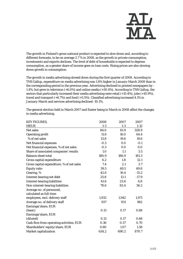

The growth in Finland's gross national product is expected to slow down and, according to different forecasts, to be on average 2.7 % in 2008, as the growth in private consumption, investments and exports declines. The level of debt of households is expected to depress consumption, as a greater share of income goes on loan costs. Rising prices are also slowing down growth in consumption.

The growth in media advertising slowed down during the first quarter of 2008. According to TNS Gallup, expenditure on media advertising was 1.8% higher in January-March 2008 than in the corresponding period in the previous year. Advertising declined in printed newspapers by - 1.4%, but grew in television (+6.0%) and online media (+30.4%). According to TNS Gallup, the sectors that particularly increased their media advertising were retail (+15.4%), jobs (+10.9%), travel and transport (+6.7%) and food (+5.5%). Classified advertising increased 4.1% in January-March and services advertising declined -10.1%.

| <b>KEY FIGURES,</b>                       | 2008   | 2007  | 2007     |
|-------------------------------------------|--------|-------|----------|
| <b>MEUR</b>                               | $1-3$  | $1-3$ | $1 - 12$ |
| Net sales                                 | 84.0   | 81.9  | 328.9    |
| <b>Operating profit</b>                   | 11.6   | 16.0  | 64.4     |
| % of net sales                            | 13.8   | 19.6  | 19.6     |
| Net financial expenses                    | $-0.3$ | 0.0   | $-0.1$   |
| Net financial expenses, % of net sales    | $-0.3$ | 0.0   | 0.0      |
| Share of associated companies' results    | 1.0    | 1.1   | 3.5      |
| <b>Balance sheet total</b>                | 180.9  | 186.9 | 181.3    |
| Gross capital expenditure                 | 6.2    | 1.8   | 12.1     |
| Gross capital expenditure, % of net sales | 7.4    | 2.1   | 3.7      |
| <b>Equity ratio</b>                       | 39.5   | 49.5  | 69.8     |
| Gearing, %                                | 42.6   | 16.4  | $-15.2$  |
| Interest-bearing net debt                 | 25.8   | 13.1  | $-17.9$  |
| <b>Interest-bearing liabilities</b>       | 41.6   | 23.6  | 6.8      |
| Non-interest-bearing liabilities          | 78.6   | 83.4  | 56.2     |
| Average no. of personnel,                 |        |       |          |
| calculated as full-time                   |        |       |          |
| employees, excl. delivery staff           | 1,932  | 1,942 | 1,971    |
| Average no. of delivery staff             | 937    | 931   | 962      |
| Earnings/share, EUR                       |        |       |          |
| (basic)                                   | 0.13   | 0.17  | 0.68     |
| Earnings/share, EUR                       |        |       |          |
| (diluted)                                 | 0.13   | 0.17  | 0.68     |
| Cash flow from operating activities, EUR  | 0.36   | 0.37  | 0.70     |
| Shareholders' equity/share, EUR           | 0.80   | 1.07  | 1.58     |
| Market capitalization                     | 634.2  | 690.2 | 870.7    |

The general election held in March 2007 and Easter being in March in 2008 affect the changes in media advertising.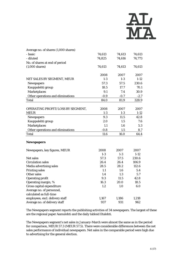

| Average no. of shares (1,000 shares) |        |         |          |
|--------------------------------------|--------|---------|----------|
| - basic                              | 74,613 | 74,613  | 74,613   |
| - diluted                            | 74,825 | 74,616  | 74,773   |
| No. of shares at end of period       |        |         |          |
| $(1,000 \text{ shares})$             | 74,613 | 74,613  | 74,613   |
|                                      |        |         |          |
|                                      | 2008   | 2007    | 2007     |
| NET SALES BY SEGMENT, MEUR           | $1-3$  | $1 - 3$ | $1-12$   |
| Newspapers                           | 57.3   | 57.5    | 230.6    |
| Kauppalehti group                    | 18.5   | 17.7    | 70.1     |
| <b>Marketplaces</b>                  | 9.1    | 7.4     | 30.9     |
| Other operations and eliminations    | $-0.9$ | $-0.7$  | $-2.7$   |
| <b>Total</b>                         | 84.0   | 81.9    | 328.9    |
|                                      |        |         |          |
| OPERATING PROFIT/LOSS BY SEGMENT,    | 2008   | 2007    | 2007     |
| <b>MEUR</b>                          | $1-3$  | $1-3$   | $1 - 12$ |
| Newspapers                           | 9.3    | 11.5    | 42.8     |
| Kauppalehti group                    | 2.0    | 1.5     | 7.6      |
| <b>Marketplaces</b>                  | 1.1    | 1.6     | 5.3      |
| Other operations and eliminations    | $-0.8$ | 1.5     | 8.7      |
| <b>Total</b>                         | 11.6   | 16.0    | 64.4     |
|                                      |        |         |          |
| <b>Newspapers</b>                    |        |         |          |
|                                      |        |         |          |
| Newspapers, key figures, MEUR        | 2008   | 2007    | 2007     |
|                                      | $1-3$  | $1-3$   | $1 - 12$ |
| Net sales                            | 57.3   | 57.5    | 230.6    |
| <b>Circulation sales</b>             | 26.4   | 26.4    | 106.9    |
| Media advertising sales              | 28.5   | 28.2    | 112.6    |
| <b>Printing sales</b>                | 1.1    | 1.6     | 5.4      |
| Other sales                          | 1.4    | 1.3     | 5.7      |
| <b>Operating profit</b>              | 9.3    | 11.5    | 42.8     |
| Operating margin, %                  | 16.3   | 20.0    | 18.5     |
| Gross capital expenditure            | 1.2    | 1.0     | 6.0      |
| Average no. of personnel,            |        |         |          |
| calculated as full-time              |        |         |          |
| employees, excl. delivery staff      | 1,167  | 1,186   | 1,218    |
| Average no. of delivery staff        | 937    | 931     | 962      |

The Newspapers segment reports the publishing activities of 34 newspapers. The largest of these are the regional paper Aamulehti and the daily tabloid Iltalehti.

The Newspapers segment's net sales in January-March were almost the same as in the period for comparison, MEUR 57.3 (MEUR 57.5). There were considerable differences between the net sales performance of individual newspapers. Net sales in the comparable period were high due to advertising for the general election.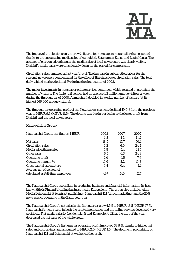

The impact of the elections on the growth figures for newspapers was smaller than expected thanks to the encouraging media sales of Aamulehti, Satakunnan Kansa and Lapin Kansa. The absence of election advertising in the media sales of local newspapers was clearly visible. Iltalehti's media sales were considerably down on the period for comparison.

Circulation sales remained at last year's level. The increase in subscription prices for the regional newspapers compensated for the effect of Iltalehti's lower circulation sales. The total daily tabloid market declined 5% during the first quarter of 2008.

The major investments in newspaper online services continued, which resulted in growth in the number of visitors. The Iltalehti.fi service had on average 1.3 million unique visitors a week during the first quarter of 2008. Aamulehti.fi doubled its weekly number of visitors (at its highest 166,000 unique visitors).

The first quarter operating profit of the Newspapers segment declined 19.0% from the previous year to MEUR 9.3 (MEUR 11.5). The decline was due in particular to the lower profit from Iltalehti and the local newspapers.

# **Kauppalehti Group**

| Kauppalehti Group, key figures, MEUR | 2008    | 2007  | 2007   |
|--------------------------------------|---------|-------|--------|
|                                      | $1 - 3$ | $1-3$ | $1-12$ |
| Net sales                            | 18.5    | 17.7  | 70.1   |
| <b>Circulation sales</b>             | 6.2     | 6.0   | 24.4   |
| Media advertising sales              | 5.8     | 5.4   | 21.5   |
| Other sales                          | 6.5     | 6.3   | 24.3   |
| <b>Operating profit</b>              | 2.0     | 1.5   | 7.6    |
| Operating margin, %                  | 10.6    | 8.2   | 10.8   |
| Gross capital expenditure            | 0.4     | 0.4   | 1.1    |
| Average no. of personnel,            |         |       |        |
| calculated as full-time employees    | 497     | 540   | 527    |

The Kauppalehti Group specializes in producing business and financial information. Its best known title is Finland's leading business media Kauppalehti. The group also includes Alma Media Lehdentekijät (contract publishing), Kauppalehti 121 (direct marketing) and the BNS news agency operating in the Baltic countries.

The Kauppalehti Group's net sales in the first quarter grew 4.5% to MEUR 18.5 (MEUR 17.7). Kauppalehti's media sales in both the printed newspaper and the online services developed very positively. Flat media sales by Lehdentekijät and Kauppalehti 121 at the start of the year depressed the net sales of the whole group.

The Kauppalehti Group's first quarter operating profit improved 33.9 %, thanks to higher net sales and cost savings and amounted to MEUR 2.0 (MEUR 1.5). The decline in profitability of Kauppalehti 121 and Lehdentekijät weakened the result.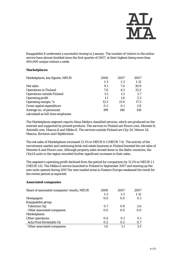

Kauppalehti.fi underwent a successful revamp in January. The number of visitors to the online service have almost doubled since the first quarter of 2007, at their highest being more than 400,000 unique visitors a week.

# **Marketplaces**

| Marketplaces, key figures, MEUR                                | 2008  | 2007  | 2007   |
|----------------------------------------------------------------|-------|-------|--------|
|                                                                | $1-3$ | $1-3$ | $1-12$ |
| Net sales                                                      | 9.1   | 7.4   | 30.9   |
| <b>Operations in Finland</b>                                   | 7.6   | 6.1   | 25.2   |
| <b>Operations outside Finland</b>                              | 1.5   | 1.3   | 5.7    |
| <b>Operating profit</b>                                        | 1.1   | 1.6   | 5.3    |
| Operating margin, %                                            | 12.5  | 21.6  | 17.3   |
| Gross capital expenditure                                      | 0.3   | 0.1   | 2.8    |
| Average no. of personnel,<br>calculated as full-time employees | 199   | 146   | 158    |

The Marketplaces segment reports Alma Media's classified services, which are produced on the internet and supported by printed products. The services in Finland are Etuovi.com, Monster.fi, Autotalli.com, Mascus.fi and Mikko.fi. The services outside Finland are City 24, Motors 24, Mascus, Bovision and Objektvision.

The net sales of Marketplaces increased 23.1% to MEUR 9.1 (MEUR 7.4). The activity of the recruitment market and continuing brisk real estate business in Finland boosted the net sales of Monster.fi and Etuovi.com. Although property sales slowed down in the Baltic countries, the City24 units in the region recorded further significant increases in their sales.

The segment's operating profit declined from the period for comparison by 31.2% to MEUR 1.1 (MEUR 1.6). The Mikko.fi service launched in Finland in September 2007 and starting up the new units opened during 2007 for new market areas in Eastern Europe weakened the result for the review period as expected.

# **Associated companies**

| Share of associated companies' results, MEUR | 2008  | 2007  | 2007   |
|----------------------------------------------|-------|-------|--------|
|                                              | $1-3$ | $1-3$ | $1-12$ |
| <b>Newspapers</b>                            | 0.0   | 0.0   | 0.1    |
| Kauppalehti group                            |       |       |        |
| Talentum Oyj                                 | 0.7   | 0.9   | 2.6    |
| Other associated companies                   | 0.0   | 0.0   | 0.0    |
| <b>Marketplaces</b>                          |       |       |        |
| Other operations                             | 0.0   | 0.1   | 0.1    |
| Acta Print Kivenlahti Oy                     | 0.2   | 0.2   | 0.7    |
| Other associated companies                   | 1.0   | 11    | 3.5    |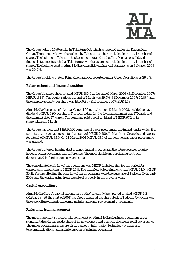

The Group holds a 29.9% stake in Talentum Oyj, which is reported under the Kauppalehti Group. The company's own shares held by Talentum are here included in the total number of shares. The holding in Talentum has been incorporated in the Alma Media consolidated financial statements such that Talentum's own shares are not included in the total number of shares. The holding used in Alma Media's consolidated financial statements on 31 March 2008 was 30.0%.

The Group's holding in Acta Print Kivenlahti Oy, reported under Other Operations, is 36.0%.

# **Balance sheet and financial position**

The Group's balance sheet totalled MEUR 180.9 at the end of March 2008 (31 December 2007: MEUR 181.3). The equity ratio at the end of March was 39.5% (31 December 2007: 69.8%) and the company's equity per share was EUR 0.80 (31 December 2007: EUR 1.58).

Alma Media Corporation's Annual General Meeting, held on 12 March 2008, decided to pay a dividend of EUR 0.90 per share. The record date for the dividend payment was 17 March and the payment date 27 March. The company paid a total dividend of MEUR 67.2 to its shareholders in March.

The Group has a current MEUR 100 commercial paper programme in Finland, under which it is permitted to issue papers to a total amount of MEUR 0-100. In March the Group issued papers for a total of MEUR 35.0. On 31 March 2008 MEUR 65.0 of the commercial paper programme was unused.

The Group's interest-bearing debt is denominated in euros and therefore does not require hedging against exchange rate differences. The most significant purchasing contracts denominated in foreign currency are hedged.

The consolidated cash flow from operations was MEUR 1.1 below that for the period for comparison, amounting to MEUR 26.8. The cash flow before financing was MEUR 24.0 (MEUR 30.1). Factors affecting the cash flow from investments were the purchase of Jadecon Oy in early 2008 and the capital gains from the sale of property in the previous year.

# **Capital expenditure**

Alma Media Group's capital expenditure in the January-March period totalled MEUR 6.2 (MEUR 1.8). At the start of 2008 the Group acquired the share stock of Jadecon Oy. Otherwise the expenditure comprised normal maintenance and replacement investments.

# **Risks and risk management**

The most important strategic risks contingent on Alma Media's business operations are a significant drop in the readerships of its newspapers and a critical decline in retail advertising. The major operational risks are disturbances in information technology systems and telecommunications, and an interruption of printing operations.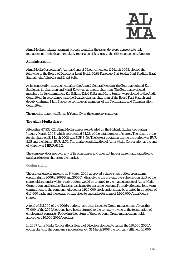

Alma Media's risk management process identifies the risks, develops appropriate risk management methods and regularly reports on risk issues to the risk management function.

# **Administration**

Alma Media Corporation's Annual General Meeting, held on 12 March 2008, elected the following to the Board of Directors: Lauri Helvi, Matti Kavetvuo, Kai Seikku, Kari Stadigh, Harri Suutari, Ahti Vilppula and Erkki Solja.

At its constitutive meeting held after the Annual General Meeting, the Board appointed Kari Stadigh as its chairman and Matti Kavetvuo as deputy chairman. The Board also elected members for its committees. Kai Seikku, Erkki Solja and Harri Suutari were elected to the Audit Committee. In accordance with the Board's charter, chairman of the Board Kari Stadigh and deputy chairman Matti Kavetvuo continue as members of the Nomination and Compensation Committee.

The meeting appointed Ernst & Young Oy as the company's auditor.

# **The Alma Media share**

Altogether 47,932,624 Alma Media shares were traded on the Helsinki Exchanges during January-March 2008, which represented 64.2% of the total number of shares. The closing price for the share on 31 March 2008 was EUR 8.50. The lowest quotation during the period was EUR 8.15 and the highest EUR 11.70. The market capitalization of Alma Media Corporation at the end of March was MEUR 634.2.

The company does not own any of its own shares and does not have a current authorization to purchase its own shares on the market.

#### **Option rights**

The annual general meeting on 8 March 2006 approved a three-stage option programme (option rights 2006A, 2006B and 2006C), disapplying the pre-emptive subscription right of the shareholders, under which stock options would be granted to the managements of Alma Media Corporation and its subsidiaries as a scheme for ensuring personnel's motivation and long-term commitment to the company. Altogether 1,920,000 stock options may be granted in three lots of 640,000 each, and these may be exercised to subscribe for at most 1,920,000 Alma Media shares.

A total of 515,000 of the 2006A options have been issued to Group management. Altogether 75,000 of the 2006A options have been returned to the company owing to the termination of employment contracts. Following the return of these options, Group management holds altogether 440,000 2006A options.

In 2007 Alma Media Corporation's Board of Directors decided to cancel the 190,000 2006A option rights in the company's possession. On 31 March 2008 the company still held 10,000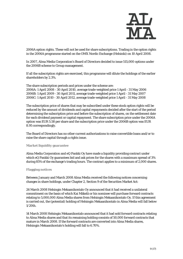

2006A option rights. These will not be used for share subscriptions. Trading in the option rights in the 2006A programme started on the OMX Nordic Exchange (Helsinki) on 10 April 2008.

In 2007, Alma Media Corporation's Board of Directors decided to issue 515,000 options under the 2006B scheme to Group management.

If all the subscription rights are exercised, this programme will dilute the holdings of the earlier shareholders by 2.3%.

The share subscription periods and prices under the scheme are: 2006A: 1 April 2008 - 30 April 2010, average trade-weighted price 1 April - 31 May 2006 2006B: 1 April 2009 - 30 April 2011, average trade-weighted price 1 April - 31 May 2007 2006C: 1 April 2010 - 30 April 2012, average trade-weighted price 1 April - 31 May 2008

The subscription price of shares that may be subscribed under these stock option rights will be reduced by the amount of dividends and capital repayments decided after the start of the period determining the subscription price and before the subscription of shares, on the settlement date for each dividend payment or capital repayment. The share subscription price under the 2006A option was EUR 5.58 per share and the subscription price under the 2006B option was EUR 8.95 correspondingly.

The Board of Directors has no other current authorizations to raise convertible loans and/or to raise the share capital through a rights issue.

#### **Market liquidity guarantee**

Alma Media Corporation and eQ Pankki Oy have made a liquidity providing contract under which eQ Pankki Oy guarantees bid and ask prices for the shares with a maximum spread of 3% during 85% of the exchange's trading hours. The contract applies to a minimum of 2,000 shares.

#### **Flagging notices**

Between January and March 2008 Alma Media received the following notices concerning changes in share holdings, under Chapter 2, Section 9 of the Securities Market Act:

26 March 2008 Helsingin Mekaanikontalo Oy announced that it had received a unilateral commitment on the basis of which Kai Mäkelä or his nominee will purchase forward contracts relating to 5,000,000 Alma Media shares from Helsingin Mekaanikontalo Oy. If this agreement is carried out, the (potential) holding of Helsingin Mekaanikontalo in Alma Media will fall below 1/20th.

14 March 2008 Helsingin Mekaanikontalo announced that it had sold forward contracts relating to Alma Media shares and that its remaining holding consists of 50,000 forward contracts that mature in March 2008. If the forward contracts are converted into Alma Media shares, Helsingin Mekaanikontalo's holding will fall to 6.70%.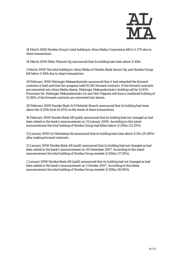

14 March 2008 Nordea Group's total holding in Alma Media Corporation fell to 2.17% due to share transactions.

14 March 2008 Ilkka-Yhtymä Oyj announced that its holding had risen above 1/10th.

3 March 2008 The total holding in Alma Media of Nordea Bank Suomi Oyj and Nordea Group fell below 1/10th due to share transactions.

29 February 2008 Helsingin Mekaanikontalo announced that it had extended the forward contracts it held and that the company held 95,565 forward contracts. If the forward contracts are converted into Alma Media shares, Helsingin Mekaanikontalo's holding will be 12.81%. Procomex SA, Helsingin Mekaanikontalo Oy and Ahti Vilppula will have a combined holding of 12.84%, if the forward contracts are converted into shares.

28 February 2008 Danske Bank A/S Helsinki Branch announced that its holding had risen above the 1/20th limit (6.41%) as the result of share transactions.

18 February 2008 Nordea Bank AB (publ) announced that its holding had not changed as had been stated in the bank's announcement on 21 January 2008. According to this latest announcement the total holding of Nordea Group had fallen below 3/20ths (13.35%).

21 January 2008 Oy Herttaässä Ab announced that its holding had risen above 1/5th (20.68%) after making forward contracts.

21 January 2008 Nordea Bank AB (publ) announced that its holding had not changed as had been stated in the bank's announcement on 28 December 2007. According to this latest announcement the total holding of Nordea Group exceeds 3/20ths (17.50%).

2 January 2008 Nordea Bank AB (publ) announced that its holding had not changed as had been stated in the bank's announcement on 1 October 2007. According to this latest announcement the total holding of Nordea Group exceeds 3/20ths (16.84%).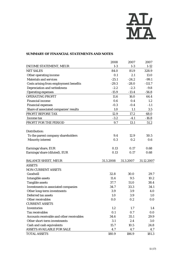

# **SUMMARY OF FINANCIAL STATEMENTS AND NOTES**

|                                           | 2008      | 2007      | 2007       |
|-------------------------------------------|-----------|-----------|------------|
| <b>INCOME STATEMENT, MEUR</b>             | $1-3$     | $1-3$     | $1 - 12$   |
| <b>NET SALES</b>                          | 84.0      | 81.9      | 328.9      |
| Other operating income                    | 0.1       | 2.1       | 13.0       |
| <b>Materials and services</b>             | $-25.1$   | $-24.2$   | $-99.1$    |
| Costs arising from employment benefits    | $-29.3$   | $-28.0$   | $-111.7$   |
| Depreciation and writedowns               | $-2.2$    | $-2.3$    | $-9.8$     |
| <b>Operating expenses</b>                 | $-15.9$   | $-13.4$   | $-56.8$    |
| <b>OPERATING PROFIT</b>                   | 11.6      | 16.0      | 64.4       |
| <b>Financial income</b>                   | 0.6       | 0.4       | $1.2\,$    |
| <b>Financial expenses</b>                 | $-0.3$    | $-0.4$    | $-1.1$     |
| Share of associated companies' results    | 1.0       | 1.1       | 3.5        |
| PROFIT BEFORE TAX                         | 12.9      | 17.2      | 68.0       |
| Income tax                                | $-3.2$    | $-4.1$    | $-16.8$    |
| PROFIT FOR THE PERIOD                     | 9.7       | 13.1      | 51.2       |
|                                           |           |           |            |
| Distribution:                             |           |           |            |
| To the parent company shareholders        | 9.4       | 12.9      | 50.5       |
| <b>Minority interest</b>                  | 0.3       | 0.2       | 0.6        |
| Earnings/share, EUR                       | 0.13      | 0.17      | 0.68       |
| Earnings/share (diluted), EUR             | 0.13      | 0.17      | 0.68       |
|                                           |           |           |            |
| <b>BALANCE SHEET, MEUR</b>                | 31.3.2008 | 31.3.2007 | 31.12.2007 |
| <b>ASSETS</b>                             |           |           |            |
| <b>NON-CURRENT ASSETS</b>                 |           |           |            |
| Goodwill                                  | 32.8      | 30.0      | 29.7       |
| <b>Intangible assets</b>                  | 11.4      | 9.5       | 10.2       |
| <b>Tangible assets</b>                    | 37.7      | 51.0      | 38.4       |
| Investments in associated companies       | 34.7      | 33.3      | 34.1       |
| Other long-term investments               | 3.9       | 3.9       | 4.0        |
| Deferred tax assets                       | 1.0       | 3.9       | 1.0        |
| Other receivables                         | 0.0       | 0.2       | 0.0        |
| <b>CURRENT ASSETS</b>                     |           |           |            |
| <b>Inventories</b>                        | 1.2       | 1.7       | 1.4        |
| <b>Tax receivables</b>                    | 0.1       | 0.7       | 0.0        |
| Accounts receivable and other receivables | 34.6      | 35.1      | 29.9       |
| Other short-term investments              | 3.1       | 2.4       | 3.0        |
| Cash and cash equivalents                 | 15.7      | 10.5      | 24.8       |
| <b>ASSETS AVAILABLE FOR SALE</b>          | 4.7       | 4.7       | 4.7        |
| <b>TOTAL ASSETS</b>                       | 180.9     | 186.9     | 181.3      |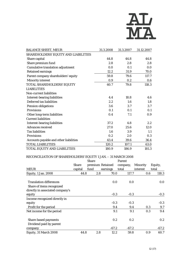

| <b>BALANCE SHEET, MEUR</b>               | 31.3.2008 | 31.3.2007 | 31.12.2007 |
|------------------------------------------|-----------|-----------|------------|
| SHAREHOLDERS' EQUITY AND LIABILITIES     |           |           |            |
| Share capital                            | 44.8      | 44.8      | 44.8       |
| Share premium fund                       | 2.8       | 2.8       | 2.8        |
| <b>Cumulative translation adjustment</b> | 0.0       | 0.1       | 0.0        |
| <b>Retained earnings</b>                 | 12.2      | 31.9      | 70.0       |
| Parent company shareholders' equity      | 59.8      | 79.6      | 117.7      |
| <b>Minority interest</b>                 | 0.9       | 0.2       | 0.6        |
| TOTAL SHAREHOLDERS' EQUITY               | 60.7      | 79.8      | 118.3      |
| <b>LIABILITIES</b>                       |           |           |            |
| Non-current liabilities                  |           |           |            |
| <b>Interest-bearing liabilities</b>      | 4.4       | 18.8      | 4.6        |
| Deferred tax liabilities                 | 2.2       | 1.6       | 1.8        |
| Pension obligations                      | 3.6       | 3.7       | 3.7        |
| <b>Provisions</b>                        | 0.1       | 0.1       | 0.1        |
| Other long-term liabilities              | 0.4       | 7.1       | 0.9        |
| <b>Current liabilities</b>               |           |           |            |
| <b>Interest-bearing liabilities</b>      | 37.2      | 4.8       | 2.2        |
| <b>Advances received</b>                 | 27.0      | 25.6      | 12.0       |
| <b>Tax liabilities</b>                   | 1.6       | 3.9       | 1.1        |
| <b>Provisions</b>                        | 0.2       | 2.0       | 0.3        |
| Accounts payable and other liabilities   | 43.4      | 39.6      | 36.4       |
| <b>TOTAL LIABILITIES</b>                 | 120.2     | 107.1     | 63.0       |
| TOTAL EQUITY AND LIABILITIES             | 180.9     | 186.9     | 181.3      |

# RECONCILIATION OF SHAREHOLDERS' EQUITY 1 JAN. – 31 MARCH 2008

|                                  |              | <b>Share</b> |     |                  | Parent   |         |                 |     |         |
|----------------------------------|--------------|--------------|-----|------------------|----------|---------|-----------------|-----|---------|
|                                  | <b>Share</b> |              |     | premium Retained | company, |         | <b>Minority</b> |     | Equity, |
| <b>MEUR</b>                      | capital      | fund         |     | earnings         | total    |         | interest        |     | total   |
| Equity, 1 Jan. 2008              | 44.8         |              | 2.8 | 70.0             |          | 117.7   |                 | 0.6 | 118.3   |
| <b>Translation differences</b>   |              |              |     | 0.0              |          | 0.0     |                 |     | 0.0     |
| Share of items recognized        |              |              |     |                  |          |         |                 |     |         |
| directly in associated company's |              |              |     |                  |          |         |                 |     |         |
| equity                           |              |              |     | $-0.3$           |          | $-0.3$  |                 |     | $-0.3$  |
| Income recognized directly in    |              |              |     |                  |          |         |                 |     |         |
| equity                           |              |              |     | $-0.3$           |          | $-0.3$  |                 |     | $-0.3$  |
| Profit for the period            |              |              |     | 9.4              |          | 9.4     |                 | 0.3 | 9.7     |
| Net income for the period        |              |              |     | 9.1              |          | 9.1     |                 | 0.3 | 9.4     |
| <b>Share-based payments</b>      |              |              |     | 0.2              |          | 0.2     |                 |     | 0.2     |
| Dividend paid by parent          |              |              |     |                  |          |         |                 |     |         |
| company                          |              |              |     | $-67.2$          |          | $-67.2$ |                 |     | $-67.2$ |
| Equity, 31 March 2008            | 44.8         |              | 2.8 | 12.2             |          | 59.8    |                 | 0.9 | 60.7    |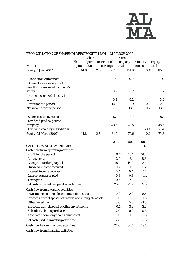

| RECONCILIATION OF SHAREHOLDERS' EQUITY 1 JAN. - 31 MARCH 2007 |              |              |                  |                  |                 |         |
|---------------------------------------------------------------|--------------|--------------|------------------|------------------|-----------------|---------|
|                                                               |              | <b>Share</b> |                  | Parent           |                 |         |
|                                                               | <b>Share</b> |              | premium Retained | company,         | <b>Minority</b> | Equity, |
| <b>MEUR</b>                                                   | capital      | fund         | earnings         | total            | interest        | total   |
| Equity, 1 Jan. 2007                                           | 44.8         | 2.8          | 67.3             | 114.9            | 0.4             | 115.3   |
| <b>Translation differences</b>                                |              |              | 0.0              | 0.0              |                 | 0.0     |
| Share of items recognized                                     |              |              |                  |                  |                 |         |
| directly in associated company's                              |              |              |                  |                  |                 |         |
| equity                                                        |              |              | 0.2              | 0.2              |                 | 0.2     |
| Income recognized directly in                                 |              |              |                  |                  |                 |         |
| equity                                                        |              |              | 0.2              | 0.2              |                 | 0.2     |
| Profit for the period                                         |              |              | 12.9             | 12.9             | 0.2             | 13.1    |
| Net income for the period                                     |              |              | 13.1             | 13.1             | 0.2             | 13.3    |
| Share-based payments                                          |              |              | 0.1              | 0.1              |                 | 0.1     |
| Dividend paid by parent                                       |              |              |                  |                  |                 |         |
| company                                                       |              |              | $-48.5$          | $-48.5$          |                 | $-48.5$ |
| Dividends paid by subsidiaries                                |              |              |                  |                  | $-0.4$          | $-0.4$  |
| Equity, 31 March 2007                                         | 44.8         | 2.8          | 31.9             | 79.6             | 0.2             | 79.8    |
|                                                               |              |              |                  | 2008<br>2007     | 2007            |         |
| CASH FLOW STATEMENT, MEUR                                     |              |              |                  | $1-3$<br>$1-3$   | $1 - 12$        |         |
| Cash flow from operating activities                           |              |              |                  |                  |                 |         |
| Profit for the period                                         |              |              |                  | 9.7<br>13.1      | 51.2            |         |
| <b>Adjustments</b>                                            |              |              |                  | 3.1<br>3.9       | 8.8             |         |
| Change in working capital                                     |              |              |                  | 14.0<br>15.4     | 3.4             |         |
| Dividend income received                                      |              |              |                  | 0.2<br>0.0       | 3.2             |         |
| Interest income received                                      |              |              |                  | 0.4<br>0.4       | 1.1             |         |
| Interest expenses paid                                        |              |              |                  | $-0.3$<br>$-0.3$ | $-1.1$          |         |
| <b>Taxes</b> paid                                             |              |              |                  | $-2.5$<br>$-2.3$ | $-14.1$         |         |
| Net cash provided by operating activities                     |              |              |                  | 26.8<br>27.9     | 52.5            |         |
| Cash flow from investing activities                           |              |              |                  |                  |                 |         |
| Investments in tangible and intangible assets                 |              |              |                  | $-0.9$<br>$-0.9$ | $-5.6$          |         |
| Proceeds from disposal of tangible and intangible assets      |              |              |                  | 0.0<br>0.0       | 1.5             |         |
| <b>Other investments</b>                                      |              |              |                  | 0.0<br>0.0       | $-1.0$          |         |
| Proceeds from disposal of other investments                   |              |              |                  | 0.1<br>3.2       | 3.4             |         |
| Subsidiary shares purchased                                   |              |              |                  | $-2.0$<br>$-0.2$ | $-0.3$          |         |
| Associated company shares purchased                           |              |              |                  | 0.0<br>0.0       | $-1.5$          |         |
| Net cash used in investing activities                         |              |              |                  | $-2.8$<br>2.1    | $-3.5$          |         |
| Cash flow before financing activities                         |              |              |                  | 24.0<br>30.1     | 49.1            |         |
| Cash flow from financing activities                           |              |              |                  |                  |                 |         |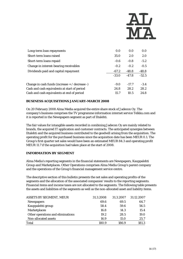

| Long-term loan repayments                      | 0.0     | 0.0     | 0.0     |
|------------------------------------------------|---------|---------|---------|
| Short-term loans raised                        | 35.0    | 2.0     | 2.0     |
| Short-term loans repaid                        | $-0.6$  | $-0.8$  | $-5.2$  |
| Change in interest-bearing receivables         | $-0.2$  | $-0.2$  | $-0.5$  |
| Dividends paid and capital repayment           | $-67.2$ | $-48.8$ | $-48.8$ |
|                                                | $-33.0$ | $-47.8$ | $-52.5$ |
| Change in cash funds (increase + / decrease -) | $-9.0$  | $-17.7$ | $-3.4$  |
| Cash and cash equivalents at start of period   | 24.8    | 28.2    | 28.2    |
| Cash and cash equivalents at end of period     | 15.7    | 10.5    | 24.8    |

# **BUSINESS ACQUISITIONS JANUARY-MARCH 2008**

On 20 February 2008 Alma Media acquired the entire share stock of Jadecon Oy. The company's business comprises the TV programme information internet service Telkku.com and it is reported in the Newspapers segment as part of Iltalehti.

The fair values for intangible assets recorded in combining Jadecon Oy are mainly related to brands, the acquired IT application and customer contracts. The anticipated synergies between Iltalehti and the acquired business contributed to the goodwill arising from the acquisition. The operating profit for the purchased business since the acquisition date has been MEUR 0.1. The Group's first quarter net sales would have been an estimated MEUR 84.3 and operating profit MEUR 11.7 if the acquisition had taken place at the start of 2008.

# **INFORMATION BY SEGMENT**

Alma Media's reporting segments in the financial statements are Newspapers, Kauppalehti Group and Marketplaces. Other Operations comprises Alma Media Group's parent company and the operations of the Group's financial management service centre.

The descriptive section of this bulletin presents the net sales and operating profits of the segments and the allocation of the associated companies' results to the reporting segments. Financial items and income taxes are not allocated to the segments. The following table presents the assets and liabilities of the segments as well as the non-allocated asset and liability items.

| <b>ASSETS BY SEGMENT, MEUR</b>    | 31.3.2008 | 31.3.2007 | 31.12.2007 |
|-----------------------------------|-----------|-----------|------------|
| <b>Newspapers</b>                 | 69.6      | 69.5      | 64.7       |
| Kauppalehti group                 | 58.4      | 59.6      | 56.5       |
| <b>Marketplaces</b>               | 16.8      | 14.3      | 15.4       |
| Other operations and eliminations | 19.2      | 28.5      | 19.0       |
| Non-allocated assets              | 16.9      | 15.0      | 25.7       |
| Total                             | 180.9     | 186.9     | 181.3      |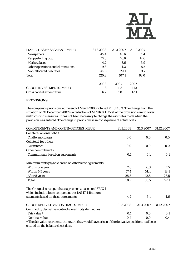

| LIABILITIES BY SEGMENT, MEUR      | 31.3.2008 | 31.3.2007 | 31.12.2007 |
|-----------------------------------|-----------|-----------|------------|
| <b>Newspapers</b>                 | 45.4      | 43.6      | 31.4       |
| Kauppalehti group                 | 15.3      | 16.6      | 12.6       |
| <b>Marketplaces</b>               | 4.2       | 3.6       | 3.9        |
| Other operations and eliminations | 9.8       | 14.2      | 5.5        |
| Non-allocated liabilities         | 45.5      | 29.1      | 9.7        |
| Total                             | 120.2     | 107.1     | 63.0       |
|                                   | 2008      | 2007      | 2007       |
| <b>GROUP INVESTMENTS, MEUR</b>    | $1-3$     | $1-3$     | $1-12$     |
| Gross capital expenditure         | 6.2       | 1.8       | 12.1       |

# **PROVISIONS**

The company's provisions at the end of March 2008 totalled MEUR 0.3. The change from the situation on 31 December 2007 is a reduction of MEUR 0.1. Most of the provisions are to cover restructuring measures. It has not been necessary to change the estimates made when the provision was entered. The change in provisions is in consequence of actual costs.

| COMMITMENTS AND CONTINGENCIES, MEUR                                                                | 31.3.2008 | 31.3.2007 | 31.12.2007 |
|----------------------------------------------------------------------------------------------------|-----------|-----------|------------|
| Collateral on own behalf                                                                           |           |           |            |
| <b>Chattel mortgages</b>                                                                           | 0.0       | 0.0       | 0.0        |
| <b>Collateral for others</b>                                                                       |           |           |            |
| <b>Guarantees</b>                                                                                  | 0.0       | 0.0       | 0.0        |
| Other commitments                                                                                  |           |           |            |
| <b>Commitments based on agreements</b>                                                             | 0.1       | 0.1       | 0.1        |
| Minimum rents payable based on other lease agreements:                                             |           |           |            |
| Within one year                                                                                    | 7.6       | 6.3       | 7.5        |
| Within 1-5 years                                                                                   | 17.4      | 14.4      | 18.1       |
| After 5 years                                                                                      | 25.8      | 12.8      | 26.5       |
| Total                                                                                              | 50.7      | 33.5      | 52.1       |
| The Group also has purchase agreements based on IFRIC 4                                            |           |           |            |
| which include a lease component per IAS 17. Minimum                                                |           |           |            |
| payments based on these agreements:                                                                | 4.2       | 6.1       | 4.6        |
| <b>GROUP DERIVATIVE CONTRACTS, MEUR</b>                                                            | 31.3.2008 | 31.3.2007 | 31.12.2007 |
| Commodity derivative contracts, electricity derivatives                                            |           |           |            |
| Fair value *                                                                                       | 0.1       | 0.0       | 0.1        |
| Nominal value                                                                                      | 0.4       | 0.0       | 0.4        |
| * The fair value represents the return that would have arisen if the derivative positions had been |           |           |            |

cleared on the balance sheet date.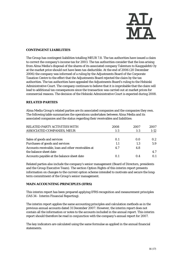

### **CONTINGENT LIABILITIES**

The Group has contingent liabilities totalling MEUR 7.8. The tax authorities have issued a claim to correct the company's income tax for 2003. The tax authorities consider that the loss arising from Alma Media's disposal of the shares of its associated company Talentum to Kauppalehti Oy at the market price should not have been tax-deductible. At the end of 2006 (20 December 2006) the company was informed of a ruling by the Adjustments Board of the Corporate Taxation Centre to the effect that the Adjustments Board rejected the claim by the tax authorities. The tax authorities have appealed the Adjustments Board's ruling to the Helsinki Administrative Court. The company continues to believe that it is improbable that the claim will lead to additional tax consequences since the transaction was carried out at market prices for commercial reasons. The decision of the Helsinki Administrative Court is expected during 2008.

#### **RELATED PARTIES**

Alma Media Group's related parties are its associated companies and the companies they own. The following table summarizes the operations undertaken between Alma Media and its associated companies and the status regarding their receivables and liabilities:

| RELATED PARTY ACTIVITIES WITH                                                | 2008  | 2007    | 2007   |
|------------------------------------------------------------------------------|-------|---------|--------|
| ASSOCIATED COMPANIES, MEUR                                                   | $1-3$ | $1 - 3$ | $1-12$ |
| Sales of goods and services                                                  | 0.1   | 0.0     | 0.2    |
| Purchases of goods and services                                              | 1.1   | 1.3     | 5.9    |
| Accounts receivable, loan and other receivables at<br>the balance sheet date | 4.7   | 4.8     | 4.7    |
| Accounts payable at the balance sheet date                                   | 0.1   | 0.4     | 0.1    |

Related parties also include the company's senior management (Board of Directors, presidents and the Group Executive Team). The section Option Rights of this interim report presents information on changes to the current option scheme intended to motivate and secure the longterm commitment of the Group's senior management.

# **MAIN ACCOUNTING PRINCIPLES (IFRS)**

This interim report has been prepared applying IFRS recognition and measurement principles (IAS 34 - Interim Financial Reporting).

The interim report applies the same accounting principles and calculation methods as in the previous annual accounts dated 31 December 2007. However, the interim report does not contain all the information or notes to the accounts included in the annual report. This interim report should therefore be read in conjunction with the company's annual report for 2007.

The key indicators are calculated using the same formulae as applied in the annual financial statements.